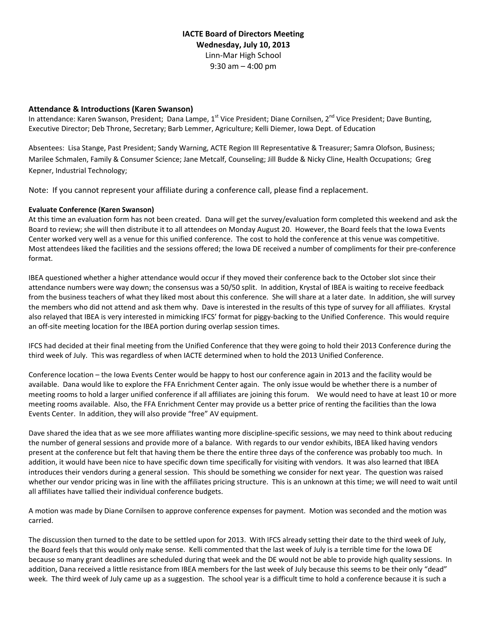# **IACTE Board of Directors Meeting Wednesday, July 10, 2013** Linn‐Mar High School 9:30 am – 4:00 pm

### **Attendance & Introductions (Karen Swanson)**

In attendance: Karen Swanson, President; Dana Lampe, 1<sup>st</sup> Vice President; Diane Cornilsen, 2<sup>nd</sup> Vice President; Dave Bunting, Executive Director; Deb Throne, Secretary; Barb Lemmer, Agriculture; Kelli Diemer, Iowa Dept. of Education

Absentees: Lisa Stange, Past President; Sandy Warning, ACTE Region III Representative & Treasurer; Samra Olofson, Business; Marilee Schmalen, Family & Consumer Science; Jane Metcalf, Counseling; Jill Budde & Nicky Cline, Health Occupations; Greg Kepner, Industrial Technology;

Note: If you cannot represent your affiliate during a conference call, please find a replacement.

#### **Evaluate Conference (Karen Swanson)**

At this time an evaluation form has not been created. Dana will get the survey/evaluation form completed this weekend and ask the Board to review; she will then distribute it to all attendees on Monday August 20. However, the Board feels that the Iowa Events Center worked very well as a venue for this unified conference. The cost to hold the conference at this venue was competitive. Most attendees liked the facilities and the sessions offered; the Iowa DE received a number of compliments for their pre‐conference format.

IBEA questioned whether a higher attendance would occur if they moved their conference back to the October slot since their attendance numbers were way down; the consensus was a 50/50 split. In addition, Krystal of IBEA is waiting to receive feedback from the business teachers of what they liked most about this conference. She will share at a later date. In addition, she will survey the members who did not attend and ask them why. Dave is interested in the results of this type of survey for all affiliates. Krystal also relayed that IBEA is very interested in mimicking IFCS' format for piggy-backing to the Unified Conference. This would require an off-site meeting location for the IBEA portion during overlap session times.

IFCS had decided at their final meeting from the Unified Conference that they were going to hold their 2013 Conference during the third week of July. This was regardless of when IACTE determined when to hold the 2013 Unified Conference.

Conference location – the Iowa Events Center would be happy to host our conference again in 2013 and the facility would be available. Dana would like to explore the FFA Enrichment Center again. The only issue would be whether there is a number of meeting rooms to hold a larger unified conference if all affiliates are joining this forum. We would need to have at least 10 or more meeting rooms available. Also, the FFA Enrichment Center may provide us a better price of renting the facilities than the Iowa Events Center. In addition, they will also provide "free" AV equipment.

Dave shared the idea that as we see more affiliates wanting more discipline‐specific sessions, we may need to think about reducing the number of general sessions and provide more of a balance. With regards to our vendor exhibits, IBEA liked having vendors present at the conference but felt that having them be there the entire three days of the conference was probably too much. In addition, it would have been nice to have specific down time specifically for visiting with vendors. It was also learned that IBEA introduces their vendors during a general session. This should be something we consider for next year. The question was raised whether our vendor pricing was in line with the affiliates pricing structure. This is an unknown at this time; we will need to wait until all affiliates have tallied their individual conference budgets.

A motion was made by Diane Cornilsen to approve conference expenses for payment. Motion was seconded and the motion was carried.

The discussion then turned to the date to be settled upon for 2013. With IFCS already setting their date to the third week of July, the Board feels that this would only make sense. Kelli commented that the last week of July is a terrible time for the Iowa DE because so many grant deadlines are scheduled during that week and the DE would not be able to provide high quality sessions. In addition, Dana received a little resistance from IBEA members for the last week of July because this seems to be their only "dead" week. The third week of July came up as a suggestion. The school year is a difficult time to hold a conference because it is such a